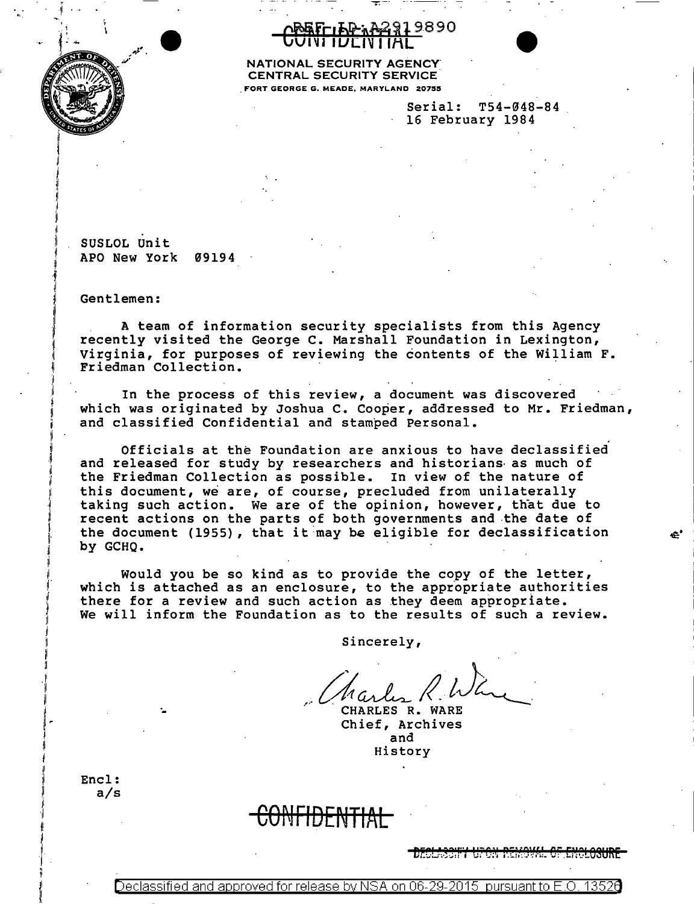

## <u>ንጅፍሮ-</u>լኤቅ-አቅ2919890 VIVI IUEIVI IAL



Serial: T54-048-84 · 16 February 1984

SUSLOL Unit APO New York 09194

Gentlemen:

A team of information security specialists from this Agency recently visited the George C. Marshall Foundation in Lexington, Virginia, for purposes of reviewing the contents of the William F. Friedman Collection.

In the process of this review, a document was discovered which was originated by Joshua C. Cooper, addressed to Mr. Friedman, and classified Confidential and stamped Personal.

Officials at the Foundation are anxious to have declassified and released for study by researchers and historians· as much of the Friedman Collection as possible. In view of the nature of this document, we are, of course, precluded from unilaterally taking such action. We are of the opinion, however, that due to recent actions on the parts of both governments and .the date of the document (1955), that it may be eligible for declassification by GCHQ.

Would you be so kind as to provide the copy of the letter, which is attached as an enclosure, to the appropriate authorities there for a review and such action as they deem appropriate. We will inform the Foundation as to the results of such a review.

Sincerely,

.

CHARLES R. WARE Chief, Archives and History

Encl: a/s ·-

## CONFIDENTIAL

 $\boldsymbol{\hat{e}}$  .